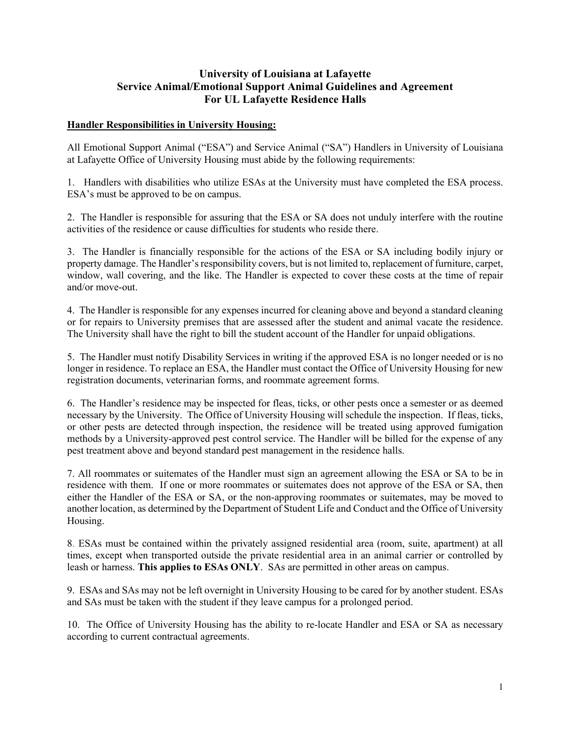## University of Louisiana at Lafayette Service Animal/Emotional Support Animal Guidelines and Agreement For UL Lafayette Residence Halls

## Handler Responsibilities in University Housing:

All Emotional Support Animal ("ESA") and Service Animal ("SA") Handlers in University of Louisiana at Lafayette Office of University Housing must abide by the following requirements:

1. Handlers with disabilities who utilize ESAs at the University must have completed the ESA process. ESA's must be approved to be on campus.

2. The Handler is responsible for assuring that the ESA or SA does not unduly interfere with the routine activities of the residence or cause difficulties for students who reside there.

3. The Handler is financially responsible for the actions of the ESA or SA including bodily injury or property damage. The Handler's responsibility covers, but is not limited to, replacement of furniture, carpet, window, wall covering, and the like. The Handler is expected to cover these costs at the time of repair and/or move-out.

4. The Handler is responsible for any expenses incurred for cleaning above and beyond a standard cleaning or for repairs to University premises that are assessed after the student and animal vacate the residence. The University shall have the right to bill the student account of the Handler for unpaid obligations.

5. The Handler must notify Disability Services in writing if the approved ESA is no longer needed or is no longer in residence. To replace an ESA, the Handler must contact the Office of University Housing for new registration documents, veterinarian forms, and roommate agreement forms.

6. The Handler's residence may be inspected for fleas, ticks, or other pests once a semester or as deemed necessary by the University. The Office of University Housing will schedule the inspection. If fleas, ticks, or other pests are detected through inspection, the residence will be treated using approved fumigation methods by a University-approved pest control service. The Handler will be billed for the expense of any pest treatment above and beyond standard pest management in the residence halls.

7. All roommates or suitemates of the Handler must sign an agreement allowing the ESA or SA to be in residence with them. If one or more roommates or suitemates does not approve of the ESA or SA, then either the Handler of the ESA or SA, or the non-approving roommates or suitemates, may be moved to another location, as determined by the Department of Student Life and Conduct and the Office of University Housing.

8. ESAs must be contained within the privately assigned residential area (room, suite, apartment) at all times, except when transported outside the private residential area in an animal carrier or controlled by leash or harness. This applies to ESAs ONLY. SAs are permitted in other areas on campus.

9. ESAs and SAs may not be left overnight in University Housing to be cared for by another student. ESAs and SAs must be taken with the student if they leave campus for a prolonged period.

10. The Office of University Housing has the ability to re-locate Handler and ESA or SA as necessary according to current contractual agreements.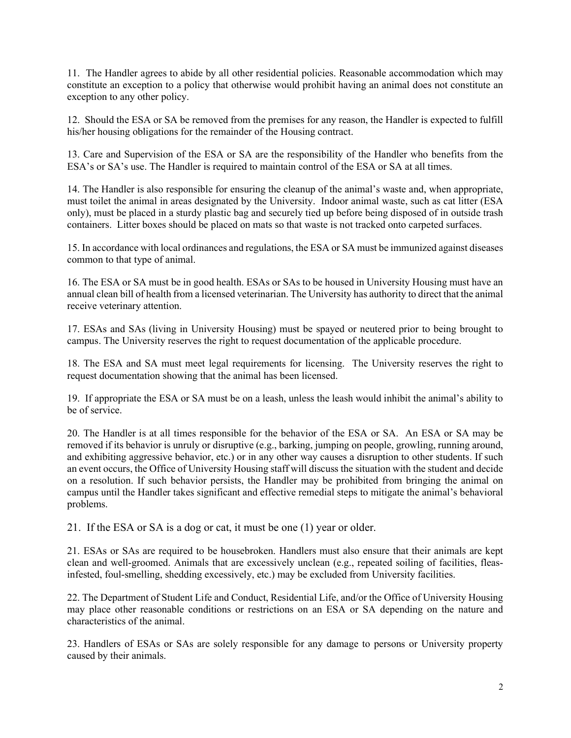11. The Handler agrees to abide by all other residential policies. Reasonable accommodation which may constitute an exception to a policy that otherwise would prohibit having an animal does not constitute an exception to any other policy.

12. Should the ESA or SA be removed from the premises for any reason, the Handler is expected to fulfill his/her housing obligations for the remainder of the Housing contract.

13. Care and Supervision of the ESA or SA are the responsibility of the Handler who benefits from the ESA's or SA's use. The Handler is required to maintain control of the ESA or SA at all times.

14. The Handler is also responsible for ensuring the cleanup of the animal's waste and, when appropriate, must toilet the animal in areas designated by the University. Indoor animal waste, such as cat litter (ESA only), must be placed in a sturdy plastic bag and securely tied up before being disposed of in outside trash containers. Litter boxes should be placed on mats so that waste is not tracked onto carpeted surfaces.

15. In accordance with local ordinances and regulations, the ESA or SA must be immunized against diseases common to that type of animal.

16. The ESA or SA must be in good health. ESAs or SAs to be housed in University Housing must have an annual clean bill of health from a licensed veterinarian. The University has authority to direct that the animal receive veterinary attention.

17. ESAs and SAs (living in University Housing) must be spayed or neutered prior to being brought to campus. The University reserves the right to request documentation of the applicable procedure.

18. The ESA and SA must meet legal requirements for licensing. The University reserves the right to request documentation showing that the animal has been licensed.

19. If appropriate the ESA or SA must be on a leash, unless the leash would inhibit the animal's ability to be of service.

20. The Handler is at all times responsible for the behavior of the ESA or SA. An ESA or SA may be removed if its behavior is unruly or disruptive (e.g., barking, jumping on people, growling, running around, and exhibiting aggressive behavior, etc.) or in any other way causes a disruption to other students. If such an event occurs, the Office of University Housing staff will discuss the situation with the student and decide on a resolution. If such behavior persists, the Handler may be prohibited from bringing the animal on campus until the Handler takes significant and effective remedial steps to mitigate the animal's behavioral problems.

21. If the ESA or SA is a dog or cat, it must be one (1) year or older.

21. ESAs or SAs are required to be housebroken. Handlers must also ensure that their animals are kept clean and well-groomed. Animals that are excessively unclean (e.g., repeated soiling of facilities, fleasinfested, foul-smelling, shedding excessively, etc.) may be excluded from University facilities.

22. The Department of Student Life and Conduct, Residential Life, and/or the Office of University Housing may place other reasonable conditions or restrictions on an ESA or SA depending on the nature and characteristics of the animal.

23. Handlers of ESAs or SAs are solely responsible for any damage to persons or University property caused by their animals.